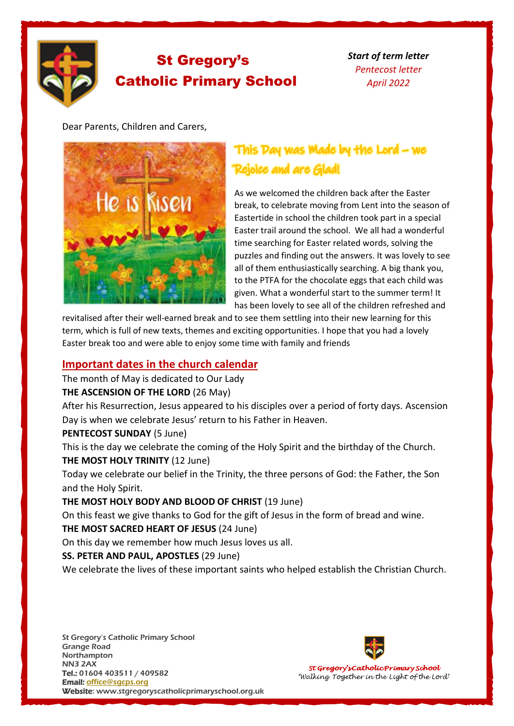

# St Gregory's Catholic Primary School

*Start of term letter Pentecost letter April 2022*

Dear Parents, Children and Carers,



## This Day was Made by the Lord - we Rejoice and are Glad!

As we welcomed the children back after the Easter break, to celebrate moving from Lent into the season of Eastertide in school the children took part in a special Easter trail around the school. We all had a wonderful time searching for Easter related words, solving the puzzles and finding out the answers. It was lovely to see all of them enthusiastically searching. A big thank you, to the PTFA for the chocolate eggs that each child was given. What a wonderful start to the summer term! It has been lovely to see all of the children refreshed and

revitalised after their well-earned break and to see them settling into their new learning for this term, which is full of new texts, themes and exciting opportunities. I hope that you had a lovely Easter break too and were able to enjoy some time with family and friends

## **Important dates in the church calendar**

The month of May is dedicated to Our Lady

### **THE ASCENSION OF THE LORD** (26 May)

After his Resurrection, Jesus appeared to his disciples over a period of forty days. Ascension Day is when we celebrate Jesus' return to his Father in Heaven.

## **PENTECOST SUNDAY** (5 June)

This is the day we celebrate the coming of the Holy Spirit and the birthday of the Church. **THE MOST HOLY TRINITY** (12 June)

Today we celebrate our belief in the Trinity, the three persons of God: the Father, the Son and the Holy Spirit.

## **THE MOST HOLY BODY AND BLOOD OF CHRIST** (19 June)

On this feast we give thanks to God for the gift of Jesus in the form of bread and wine. **THE MOST SACRED HEART OF JESUS** (24 June)

On this day we remember how much Jesus loves us all.

## **SS. PETER AND PAUL, APOSTLES** (29 June)

We celebrate the lives of these important saints who helped establish the Christian Church.



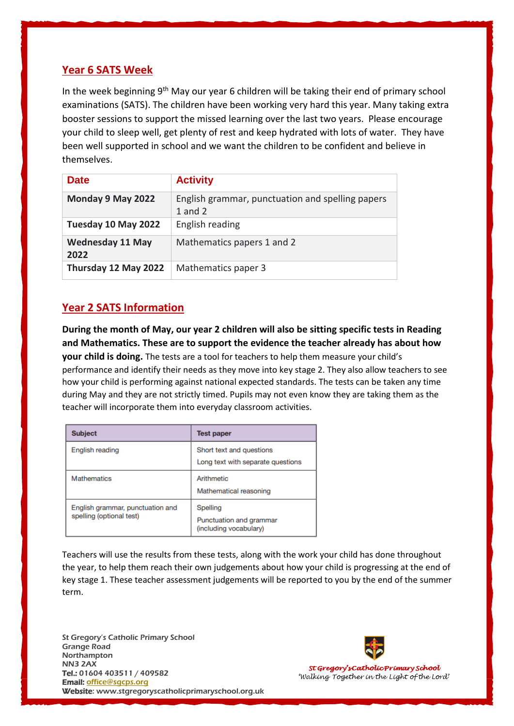## **Year 6 SATS Week**

In the week beginning  $9<sup>th</sup>$  May our year 6 children will be taking their end of primary school examinations (SATS). The children have been working very hard this year. Many taking extra booster sessions to support the missed learning over the last two years. Please encourage your child to sleep well, get plenty of rest and keep hydrated with lots of water. They have been well supported in school and we want the children to be confident and believe in themselves.

| <b>Date</b>                     | <b>Activity</b>                                                 |
|---------------------------------|-----------------------------------------------------------------|
| Monday 9 May 2022               | English grammar, punctuation and spelling papers<br>$1$ and $2$ |
| Tuesday 10 May 2022             | English reading                                                 |
| <b>Wednesday 11 May</b><br>2022 | Mathematics papers 1 and 2                                      |
| Thursday 12 May 2022            | Mathematics paper 3                                             |

## **Year 2 SATS Information**

**During the month of May, our year 2 children will also be sitting specific tests in Reading and Mathematics. These are to support the evidence the teacher already has about how your child is doing.** The tests are a tool for teachers to help them measure your child's performance and identify their needs as they move into key stage 2. They also allow teachers to see how your child is performing against national expected standards. The tests can be taken any time during May and they are not strictly timed. Pupils may not even know they are taking them as the teacher will incorporate them into everyday classroom activities.

| <b>Subject</b>                                               | <b>Test paper</b>                                             |
|--------------------------------------------------------------|---------------------------------------------------------------|
| English reading                                              | Short text and questions<br>Long text with separate questions |
| Mathematics                                                  | Arithmetic<br>Mathematical reasoning                          |
| English grammar, punctuation and<br>spelling (optional test) | Spelling<br>Punctuation and grammar<br>(including vocabulary) |

Teachers will use the results from these tests, along with the work your child has done throughout the year, to help them reach their own judgements about how your child is progressing at the end of key stage 1. These teacher assessment judgements will be reported to you by the end of the summer term.

St Gregory's Catholic Primary School Grange Road Northampton NN3 2AX Tel.: 01604 403511 / 409582 Email: [office@s](javascript:void(location.href=)[gcps.org](javascript:mt() Website: www.stgregoryscatholicprimaryschool.org.uk

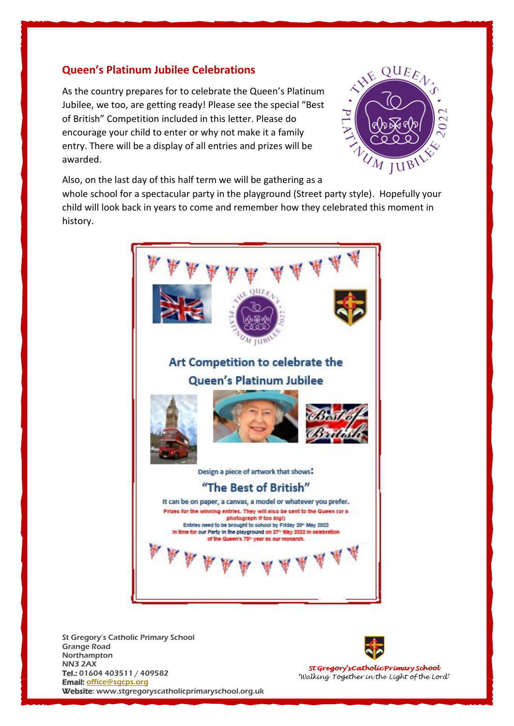## **Queen's Platinum Jubilee Celebrations**

As the country prepares for to celebrate the Queen's Platinum Jubilee, we too, are getting ready! Please see the special "Best of British" Competition included in this letter. Please do encourage your child to enter or why not make it a family entry. There will be a display of all entries and prizes will be awarded.



Also, on the last day of this half term we will be gathering as a

whole school for a spectacular party in the playground (Street party style). Hopefully your child will look back in years to come and remember how they celebrated this moment in history.



St Gregory's Catholic Primary School Grange Road Northampton NN3 2AX Tel.: 01604 403511 / 409582 Email: [office@s](javascript:void(location.href=)[gcps.org](javascript:mt() Website: www.stgregoryscatholicprimaryschool.org.uk